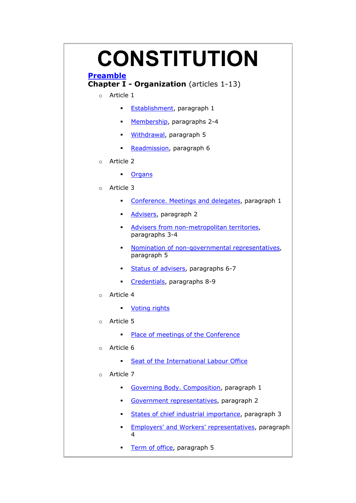# **CONSTITUTION**

#### **Preamble**

#### **Chapter I - Organization** (articles 1-13)

- o Article 1
	- **Establishment, paragraph 1**
	- Membership, paragraphs 2-4
	- **Withdrawal, paragraph 5**
	- Readmission, paragraph 6
- o Article 2
	- **-** Organs
- o Article 3
	- **Conference. Meetings and delegates, paragraph 1**
	- Advisers, paragraph 2
	- Advisers from non-metropolitan territories, paragraphs 3-4
	- **Nomination of non-governmental representatives.** paragraph 5
	- Status of advisers, paragraphs 6-7
	- **Credentials**, paragraphs 8-9
- o Article 4
	- **•** Voting rights
- o Article 5
	- **Place of meetings of the Conference**
- o Article 6
	- Seat of the International Labour Office
- o Article 7
	- **Governing Body. Composition, paragraph 1**
	- Government representatives, paragraph 2
	- States of chief industrial importance, paragraph 3
	- **Employers' and Workers' representatives, paragraph** 4
	- Term of office, paragraph 5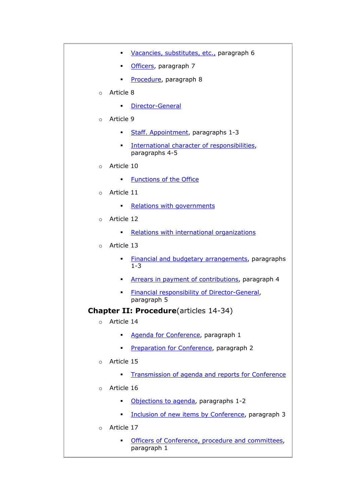- [Vacancies, substitutes, etc.,](#page-9-0) paragraph 6
- **[Officers](#page-10-0)**, paragraph 7
- **[Procedure](#page-10-0), paragraph 8**
- o Article 8
	- **•** Director-General
- o Article 9
	- [Staff. Appointment,](#page-10-0) paragraphs 1-3
	- [International character of responsibilities,](#page-11-0) paragraphs 4-5
- o Article 10
	- **[Functions of the Office](#page-11-0)**
- o Article 11
	- **[Relations with governments](#page-12-0)**
- o Article 12
	- **[Relations with international organizations](#page-12-0)**
- o Article 13
	- **[Financial and budgetary arrangements,](#page-13-0) paragraphs** 1-3
	- [Arrears in payment of contributions](#page-14-0), paragraph 4
	- **[Financial responsibility of Director-General,](#page-14-0)** paragraph 5

#### **Chapter II: Procedure**(articles 14-34)

- o Article 14
	- [Agenda for Conference](#page-14-0), paragraph 1
	- **[Preparation for Conference,](#page-15-0) paragraph 2**
- o Article 15
	- **Transmission of agenda and reports for Conference**
- o Article 16
	- [Objections to agenda,](#page-15-0) paragraphs 1-2
	- [Inclusion of new items by Conference,](#page-15-0) paragraph 3
- o Article 17
	- **[Officers of Conference, procedure and committees,](#page-16-0)** paragraph 1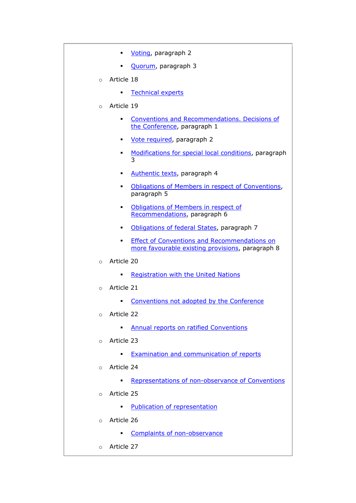- **[Voting](#page-16-0), paragraph 2** [Quorum,](#page-16-0) paragraph 3 o Article 18 **Technical experts** o Article 19 **Conventions and Recommendations. Decisions of** [the Conference,](#page-16-0) paragraph 1 [Vote required](#page-17-0), paragraph 2 [Modifications for special local conditions,](#page-17-0) paragraph 3 [Authentic texts](#page-17-0), paragraph 4 [Obligations of Members in respect of Conventions](#page-17-0), paragraph 5
	- [Obligations of Members in respect of](#page-19-0)  [Recommendations,](#page-19-0) paragraph 6
	- [Obligations of federal States,](#page-20-0) paragraph 7
	- **Effect of Conventions and Recommendations on** [more favourable existing provisions,](#page-21-0) paragraph 8
- o Article 20
	- **[Registration with the United Nations](#page-22-0)**
- o Article 21
	- **Conventions not adopted by the Conference**
- o Article 22
	- **Annual reports on ratified Conventions**
- o Article 23
	- **Examination and communication of reports**
- o Article 24
	- **[Representations of non-observance of Conventions](#page-23-0)**
- o Article 25
	- **[Publication of representation](#page-23-0)**
- o Article 26
	- **[Complaints of non-observance](#page-24-0)**
- o Article 27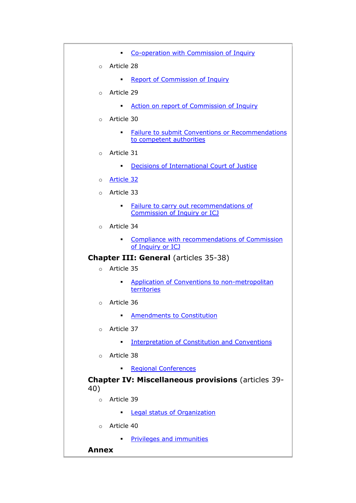- **[Co-operation with Commission of Inquiry](#page-25-0)**
- o Article 28
	- **Report of Commission of Inquiry**
- o Article 29
	- Action on report of Commission of Inquiry
- o Article 30
	- **Failure to submit Conventions or Recommendations** [to competent authorities](#page-25-0)
- o Article 31
	- **Decisions of International Court of Justice**
- o [Article 32](#page-26-0)
- o Article 33
	- Failure to carry out recommendations of [Commission of Inquiry or ICJ](#page-26-0)
- o Article 34
	- **Compliance with recommendations of Commission** [of Inquiry or ICJ](#page-27-0)

#### **Chapter III: General** (articles 35-38)

- o Article 35
	- [Application of Conventions to non-metropolitan](#page-27-0)  [territories](#page-27-0)
- o Article 36
	- **[Amendments to Constitution](#page-29-0)**
- o Article 37
	- [Interpretation of Constitution and Conventions](#page-30-0)
- o Article 38
	- **[Regional Conferences](#page-30-0)**

**Chapter IV: Miscellaneous provisions** (articles 39- 40)

- o Article 39
	- **[Legal status of Organization](#page-31-0)**
- o Article 40
	- **Privileges and immunities**

**Annex**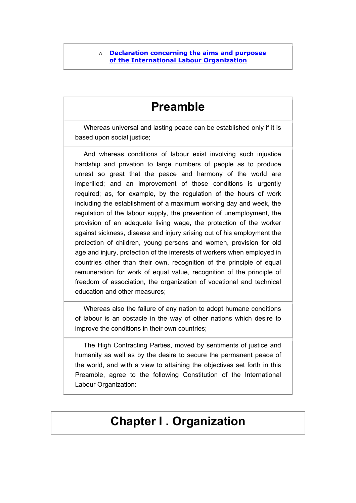### **Preamble**

Whereas universal and lasting peace can be established only if it is based upon social justice;

And whereas conditions of labour exist involving such injustice hardship and privation to large numbers of people as to produce unrest so great that the peace and harmony of the world are imperilled; and an improvement of those conditions is urgently required; as, for example, by the regulation of the hours of work including the establishment of a maximum working day and week, the regulation of the labour supply, the prevention of unemployment, the provision of an adequate living wage, the protection of the worker against sickness, disease and injury arising out of his employment the protection of children, young persons and women, provision for old age and injury, protection of the interests of workers when employed in countries other than their own, recognition of the principle of equal remuneration for work of equal value, recognition of the principle of freedom of association, the organization of vocational and technical education and other measures;

Whereas also the failure of any nation to adopt humane conditions of labour is an obstacle in the way of other nations which desire to improve the conditions in their own countries;

The High Contracting Parties, moved by sentiments of justice and humanity as well as by the desire to secure the permanent peace of the world, and with a view to attaining the objectives set forth in this Preamble, agree to the following Constitution of the International Labour Organization:

### **Chapter I . Organization**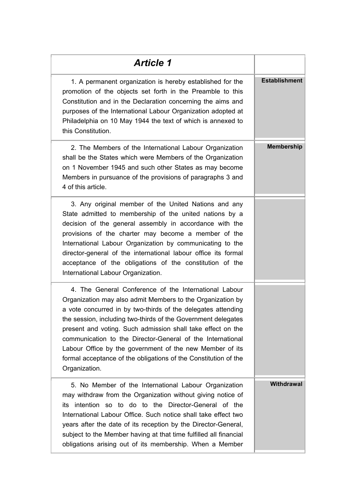| <b>Article 1</b>                                                                                                                                                                                                                                                                                                                                                                                                                                                                                                                  |                      |
|-----------------------------------------------------------------------------------------------------------------------------------------------------------------------------------------------------------------------------------------------------------------------------------------------------------------------------------------------------------------------------------------------------------------------------------------------------------------------------------------------------------------------------------|----------------------|
| 1. A permanent organization is hereby established for the<br>promotion of the objects set forth in the Preamble to this<br>Constitution and in the Declaration concerning the aims and<br>purposes of the International Labour Organization adopted at<br>Philadelphia on 10 May 1944 the text of which is annexed to<br>this Constitution.                                                                                                                                                                                       | <b>Establishment</b> |
| 2. The Members of the International Labour Organization<br>shall be the States which were Members of the Organization<br>on 1 November 1945 and such other States as may become<br>Members in pursuance of the provisions of paragraphs 3 and<br>4 of this article.                                                                                                                                                                                                                                                               | <b>Membership</b>    |
| 3. Any original member of the United Nations and any<br>State admitted to membership of the united nations by a<br>decision of the general assembly in accordance with the<br>provisions of the charter may become a member of the<br>International Labour Organization by communicating to the<br>director-general of the international labour office its formal<br>acceptance of the obligations of the constitution of the<br>International Labour Organization.                                                               |                      |
| 4. The General Conference of the International Labour<br>Organization may also admit Members to the Organization by<br>a vote concurred in by two-thirds of the delegates attending<br>the session, including two-thirds of the Government delegates<br>present and voting. Such admission shall take effect on the<br>communication to the Director-General of the International<br>Labour Office by the government of the new Member of its<br>formal acceptance of the obligations of the Constitution of the<br>Organization. |                      |
| 5. No Member of the International Labour Organization<br>may withdraw from the Organization without giving notice of<br>its intention so to do to the Director-General of the<br>International Labour Office. Such notice shall take effect two<br>years after the date of its reception by the Director-General,<br>subject to the Member having at that time fulfilled all financial<br>obligations arising out of its membership. When a Member                                                                                | Withdrawal           |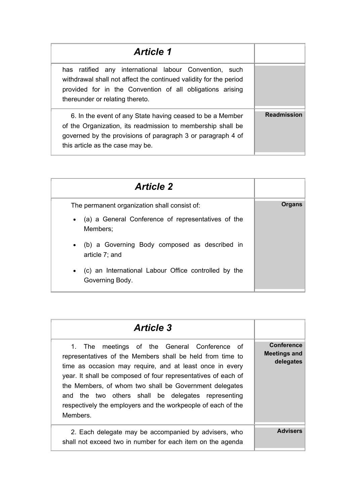<span id="page-6-0"></span>

| <b>Article 1</b>                                                                                                                                                                                                            |                    |
|-----------------------------------------------------------------------------------------------------------------------------------------------------------------------------------------------------------------------------|--------------------|
| has ratified any international labour Convention, such<br>withdrawal shall not affect the continued validity for the period<br>provided for in the Convention of all obligations arising<br>thereunder or relating thereto. |                    |
| 6. In the event of any State having ceased to be a Member<br>of the Organization, its readmission to membership shall be<br>governed by the provisions of paragraph 3 or paragraph 4 of<br>this article as the case may be. | <b>Readmission</b> |

| <b>Article 2</b>                                                             |               |
|------------------------------------------------------------------------------|---------------|
| The permanent organization shall consist of:                                 | <b>Organs</b> |
| (a) a General Conference of representatives of the<br>$\bullet$<br>Members;  |               |
| (b) a Governing Body composed as described in<br>$\bullet$<br>article 7; and |               |
| (c) an International Labour Office controlled by the<br>Governing Body.      |               |

| <b>Article 3</b>                                                                                                                                                                                                                                                                                                                                                                                                                   |                                                       |
|------------------------------------------------------------------------------------------------------------------------------------------------------------------------------------------------------------------------------------------------------------------------------------------------------------------------------------------------------------------------------------------------------------------------------------|-------------------------------------------------------|
| 1. The meetings of the General Conference of<br>representatives of the Members shall be held from time to<br>time as occasion may require, and at least once in every<br>year. It shall be composed of four representatives of each of<br>the Members, of whom two shall be Government delegates<br>and the two others shall be delegates representing<br>respectively the employers and the workpeople of each of the<br>Members. | <b>Conference</b><br><b>Meetings and</b><br>delegates |
| 2. Each delegate may be accompanied by advisers, who<br>shall not exceed two in number for each item on the agenda                                                                                                                                                                                                                                                                                                                 | <b>Advisers</b>                                       |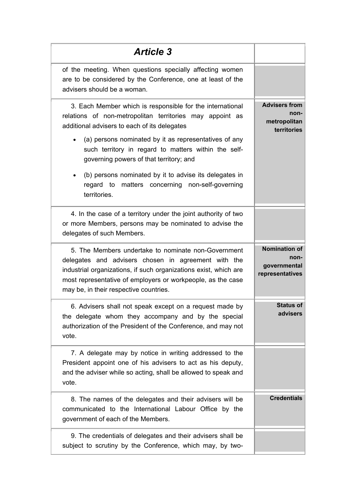|                                                                 | <b>Article 3</b>                                                                                                                                                                                                                                                                        |
|-----------------------------------------------------------------|-----------------------------------------------------------------------------------------------------------------------------------------------------------------------------------------------------------------------------------------------------------------------------------------|
|                                                                 | of the meeting. When questions specially affecting women<br>are to be considered by the Conference, one at least of the<br>advisers should be a woman.                                                                                                                                  |
| <b>Advisers from</b><br>non-<br>metropolitan<br>territories     | 3. Each Member which is responsible for the international<br>relations of non-metropolitan territories may appoint as<br>additional advisers to each of its delegates<br>(a) persons nominated by it as representatives of any<br>$\bullet$                                             |
|                                                                 | such territory in regard to matters within the self-<br>governing powers of that territory; and                                                                                                                                                                                         |
|                                                                 | (b) persons nominated by it to advise its delegates in<br>matters concerning non-self-governing<br>regard to<br>territories.                                                                                                                                                            |
|                                                                 | 4. In the case of a territory under the joint authority of two<br>or more Members, persons may be nominated to advise the<br>delegates of such Members.                                                                                                                                 |
| <b>Nomination of</b><br>non-<br>governmental<br>representatives | 5. The Members undertake to nominate non-Government<br>delegates and advisers chosen in agreement with the<br>industrial organizations, if such organizations exist, which are<br>most representative of employers or workpeople, as the case<br>may be, in their respective countries. |
| <b>Status of</b><br>advisers                                    | 6. Advisers shall not speak except on a request made by<br>the delegate whom they accompany and by the special<br>authorization of the President of the Conference, and may not<br>vote.                                                                                                |
|                                                                 | 7. A delegate may by notice in writing addressed to the<br>President appoint one of his advisers to act as his deputy,<br>and the adviser while so acting, shall be allowed to speak and<br>vote.                                                                                       |
| <b>Credentials</b>                                              | 8. The names of the delegates and their advisers will be<br>communicated to the International Labour Office by the<br>government of each of the Members.                                                                                                                                |
|                                                                 | 9. The credentials of delegates and their advisers shall be<br>subject to scrutiny by the Conference, which may, by two-                                                                                                                                                                |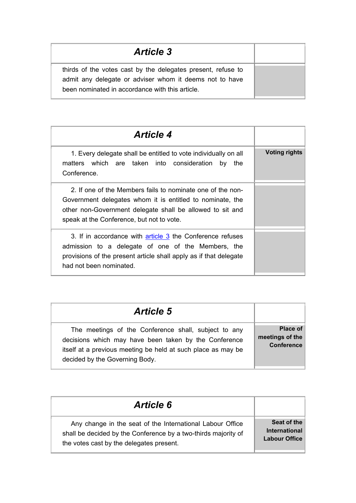| <b>Article 3</b>                                                                                                                                                           |  |
|----------------------------------------------------------------------------------------------------------------------------------------------------------------------------|--|
| thirds of the votes cast by the delegates present, refuse to<br>admit any delegate or adviser whom it deems not to have<br>been nominated in accordance with this article. |  |

| <b>Article 4</b>                                                                                                                                                                                                                  |                      |
|-----------------------------------------------------------------------------------------------------------------------------------------------------------------------------------------------------------------------------------|----------------------|
| 1. Every delegate shall be entitled to vote individually on all<br>matters which are taken into consideration by<br>the<br>Conference.                                                                                            | <b>Voting rights</b> |
| 2. If one of the Members fails to nominate one of the non-<br>Government delegates whom it is entitled to nominate, the<br>other non-Government delegate shall be allowed to sit and<br>speak at the Conference, but not to vote. |                      |
| 3. If in accordance with <b>article 3</b> the Conference refuses<br>admission to a delegate of one of the Members, the<br>provisions of the present article shall apply as if that delegate<br>had not been nominated.            |                      |

| <b>Article 5</b>                                                                                                                                                                                                |                                                  |
|-----------------------------------------------------------------------------------------------------------------------------------------------------------------------------------------------------------------|--------------------------------------------------|
| The meetings of the Conference shall, subject to any<br>decisions which may have been taken by the Conference<br>itself at a previous meeting be held at such place as may be<br>decided by the Governing Body. | Place of<br>meetings of the<br><b>Conference</b> |

| <b>Article 6</b>                                               |               |
|----------------------------------------------------------------|---------------|
| Any change in the seat of the International Labour Office      | Seat of the   |
| shall be decided by the Conference by a two-thirds majority of | International |
| the votes cast by the delegates present.                       | Labour Office |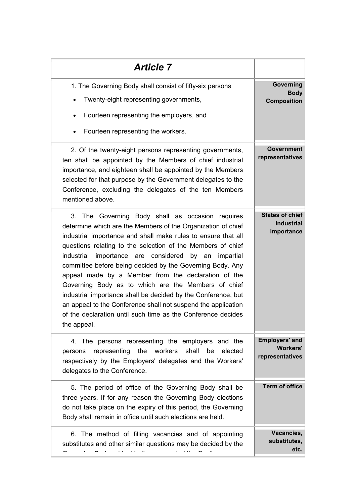<span id="page-9-0"></span>

| <b>Article 7</b>                                                                                                                                                                                                                                                                                                                                                                                                                                                                                                                                                                                                                                                                                              |                                                             |
|---------------------------------------------------------------------------------------------------------------------------------------------------------------------------------------------------------------------------------------------------------------------------------------------------------------------------------------------------------------------------------------------------------------------------------------------------------------------------------------------------------------------------------------------------------------------------------------------------------------------------------------------------------------------------------------------------------------|-------------------------------------------------------------|
| 1. The Governing Body shall consist of fifty-six persons<br>Twenty-eight representing governments,<br>$\bullet$<br>Fourteen representing the employers, and<br>Fourteen representing the workers.                                                                                                                                                                                                                                                                                                                                                                                                                                                                                                             | Governing<br><b>Body</b><br><b>Composition</b>              |
| 2. Of the twenty-eight persons representing governments,<br>ten shall be appointed by the Members of chief industrial<br>importance, and eighteen shall be appointed by the Members<br>selected for that purpose by the Government delegates to the<br>Conference, excluding the delegates of the ten Members<br>mentioned above.                                                                                                                                                                                                                                                                                                                                                                             | Government<br>representatives                               |
| 3. The Governing Body shall as occasion requires<br>determine which are the Members of the Organization of chief<br>industrial importance and shall make rules to ensure that all<br>questions relating to the selection of the Members of chief<br>importance are considered<br>industrial<br>by an<br>impartial<br>committee before being decided by the Governing Body. Any<br>appeal made by a Member from the declaration of the<br>Governing Body as to which are the Members of chief<br>industrial importance shall be decided by the Conference, but<br>an appeal to the Conference shall not suspend the application<br>of the declaration until such time as the Conference decides<br>the appeal. | <b>States of chief</b><br>industrial<br>importance          |
| 4. The persons representing the employers and the<br>representing the workers shall be<br>elected<br>persons<br>respectively by the Employers' delegates and the Workers'<br>delegates to the Conference.                                                                                                                                                                                                                                                                                                                                                                                                                                                                                                     | <b>Employers' and</b><br><b>Workers'</b><br>representatives |
| 5. The period of office of the Governing Body shall be<br>three years. If for any reason the Governing Body elections<br>do not take place on the expiry of this period, the Governing<br>Body shall remain in office until such elections are held.                                                                                                                                                                                                                                                                                                                                                                                                                                                          | <b>Term of office</b>                                       |
| 6. The method of filling vacancies and of appointing<br>substitutes and other similar questions may be decided by the                                                                                                                                                                                                                                                                                                                                                                                                                                                                                                                                                                                         | Vacancies,<br>substitutes,<br>etc.                          |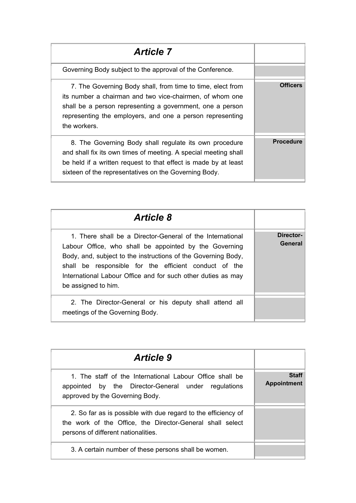<span id="page-10-0"></span>

| <b>Article 7</b>                                                                                                                                                                                                                                                 |                  |
|------------------------------------------------------------------------------------------------------------------------------------------------------------------------------------------------------------------------------------------------------------------|------------------|
| Governing Body subject to the approval of the Conference.                                                                                                                                                                                                        |                  |
| 7. The Governing Body shall, from time to time, elect from<br>its number a chairman and two vice-chairmen, of whom one<br>shall be a person representing a government, one a person<br>representing the employers, and one a person representing<br>the workers. | Officers         |
| 8. The Governing Body shall regulate its own procedure<br>and shall fix its own times of meeting. A special meeting shall<br>be held if a written request to that effect is made by at least<br>sixteen of the representatives on the Governing Body.            | <b>Procedure</b> |

| <b>Article 8</b>                                                                                                                                                                                                                                                                                                                     |                      |
|--------------------------------------------------------------------------------------------------------------------------------------------------------------------------------------------------------------------------------------------------------------------------------------------------------------------------------------|----------------------|
| 1. There shall be a Director-General of the International<br>Labour Office, who shall be appointed by the Governing<br>Body, and, subject to the instructions of the Governing Body,<br>shall be responsible for the efficient conduct of the<br>International Labour Office and for such other duties as may<br>be assigned to him. | Director-<br>General |
| 2. The Director-General or his deputy shall attend all<br>meetings of the Governing Body.                                                                                                                                                                                                                                            |                      |

| <b>Article 9</b>                                                                                                                                                  |                             |
|-------------------------------------------------------------------------------------------------------------------------------------------------------------------|-----------------------------|
| 1. The staff of the International Labour Office shall be<br>appointed by the Director-General under regulations<br>approved by the Governing Body.                | Staff<br><b>Appointment</b> |
| 2. So far as is possible with due regard to the efficiency of<br>the work of the Office, the Director-General shall select<br>persons of different nationalities. |                             |
| 3. A certain number of these persons shall be women.                                                                                                              |                             |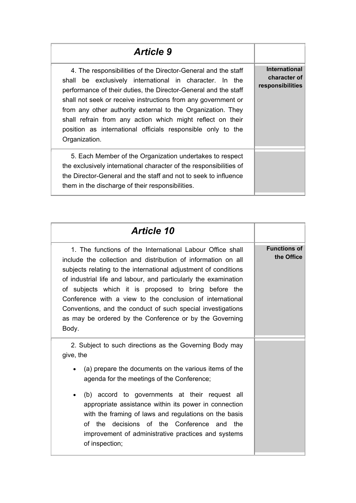<span id="page-11-0"></span>

| <b>Article 9</b>                                                                                                                                                                                                                                                                                                                                                                                                                                                          |                                                          |
|---------------------------------------------------------------------------------------------------------------------------------------------------------------------------------------------------------------------------------------------------------------------------------------------------------------------------------------------------------------------------------------------------------------------------------------------------------------------------|----------------------------------------------------------|
| 4. The responsibilities of the Director-General and the staff<br>shall be exclusively international in character. In the<br>performance of their duties, the Director-General and the staff<br>shall not seek or receive instructions from any government or<br>from any other authority external to the Organization. They<br>shall refrain from any action which might reflect on their<br>position as international officials responsible only to the<br>Organization. | <b>International</b><br>character of<br>responsibilities |
| 5. Each Member of the Organization undertakes to respect<br>the exclusively international character of the responsibilities of<br>the Director-General and the staff and not to seek to influence<br>them in the discharge of their responsibilities.                                                                                                                                                                                                                     |                                                          |

| <b>Article 10</b>                                                                                                                                                                                                                                                                                                                                                                                                                                                                                                        |                                   |
|--------------------------------------------------------------------------------------------------------------------------------------------------------------------------------------------------------------------------------------------------------------------------------------------------------------------------------------------------------------------------------------------------------------------------------------------------------------------------------------------------------------------------|-----------------------------------|
| 1. The functions of the International Labour Office shall<br>include the collection and distribution of information on all<br>subjects relating to the international adjustment of conditions<br>of industrial life and labour, and particularly the examination<br>of subjects which it is proposed to bring before the<br>Conference with a view to the conclusion of international<br>Conventions, and the conduct of such special investigations<br>as may be ordered by the Conference or by the Governing<br>Body. | <b>Functions of</b><br>the Office |
| 2. Subject to such directions as the Governing Body may<br>give, the<br>(a) prepare the documents on the various items of the<br>$\bullet$<br>agenda for the meetings of the Conference;<br>(b) accord to governments at their request all<br>$\bullet$<br>appropriate assistance within its power in connection<br>with the framing of laws and regulations on the basis<br>the decisions of the Conference and the<br>Ωf<br>improvement of administrative practices and systems<br>of inspection;                      |                                   |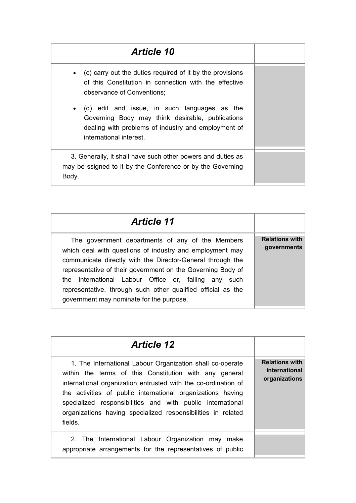<span id="page-12-0"></span>

| <b>Article 10</b>                                                                                                                                                                                                                                                                                                                          |  |
|--------------------------------------------------------------------------------------------------------------------------------------------------------------------------------------------------------------------------------------------------------------------------------------------------------------------------------------------|--|
| • (c) carry out the duties required of it by the provisions<br>of this Constitution in connection with the effective<br>observance of Conventions;<br>• (d) edit and issue, in such languages as the<br>Governing Body may think desirable, publications<br>dealing with problems of industry and employment of<br>international interest. |  |
| 3. Generally, it shall have such other powers and duties as<br>may be ssigned to it by the Conference or by the Governing<br>Body.                                                                                                                                                                                                         |  |

| <b>Article 11</b>                                                                                                                                                                                                                                                                                                                                                                                                |                                      |
|------------------------------------------------------------------------------------------------------------------------------------------------------------------------------------------------------------------------------------------------------------------------------------------------------------------------------------------------------------------------------------------------------------------|--------------------------------------|
| The government departments of any of the Members<br>which deal with questions of industry and employment may<br>communicate directly with the Director-General through the<br>representative of their government on the Governing Body of<br>the International Labour Office or, failing any<br>such<br>representative, through such other qualified official as the<br>government may nominate for the purpose. | <b>Relations with</b><br>qovernments |

| <b>Article 12</b>                                                                                                                                                                                                                                                                                                                                                                             |                                                         |
|-----------------------------------------------------------------------------------------------------------------------------------------------------------------------------------------------------------------------------------------------------------------------------------------------------------------------------------------------------------------------------------------------|---------------------------------------------------------|
| 1. The International Labour Organization shall co-operate<br>within the terms of this Constitution with any general<br>international organization entrusted with the co-ordination of<br>the activities of public international organizations having<br>specialized responsibilities and with public international<br>organizations having specialized responsibilities in related<br>fields. | <b>Relations with</b><br>international<br>organizations |
| 2. The International Labour Organization may make<br>appropriate arrangements for the representatives of public                                                                                                                                                                                                                                                                               |                                                         |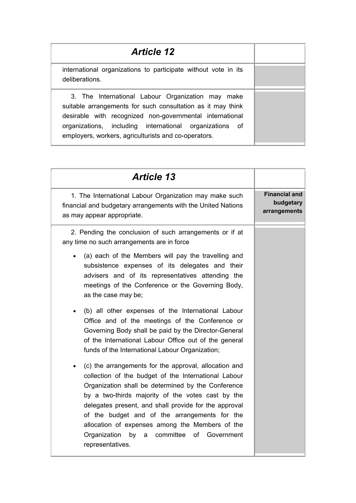<span id="page-13-0"></span>

| <b>Article 12</b>                                                                                                                                                                                                                                                                               |  |
|-------------------------------------------------------------------------------------------------------------------------------------------------------------------------------------------------------------------------------------------------------------------------------------------------|--|
| international organizations to participate without vote in its<br>deliberations.                                                                                                                                                                                                                |  |
| 3. The International Labour Organization may make<br>suitable arrangements for such consultation as it may think<br>desirable with recognized non-governmental international<br>organizations, including international organizations of<br>employers, workers, agriculturists and co-operators. |  |

| <b>Article 13</b>                                                                                                                                                                                                                                                                                                                                                                                                                                                            |                                                   |
|------------------------------------------------------------------------------------------------------------------------------------------------------------------------------------------------------------------------------------------------------------------------------------------------------------------------------------------------------------------------------------------------------------------------------------------------------------------------------|---------------------------------------------------|
| 1. The International Labour Organization may make such<br>financial and budgetary arrangements with the United Nations<br>as may appear appropriate.                                                                                                                                                                                                                                                                                                                         | <b>Financial and</b><br>budgetary<br>arrangements |
| 2. Pending the conclusion of such arrangements or if at<br>any time no such arrangements are in force                                                                                                                                                                                                                                                                                                                                                                        |                                                   |
| (a) each of the Members will pay the travelling and<br>subsistence expenses of its delegates and their<br>advisers and of its representatives attending the<br>meetings of the Conference or the Governing Body,<br>as the case may be;                                                                                                                                                                                                                                      |                                                   |
| (b) all other expenses of the International Labour<br>$\bullet$<br>Office and of the meetings of the Conference or<br>Governing Body shall be paid by the Director-General<br>of the International Labour Office out of the general<br>funds of the International Labour Organization;                                                                                                                                                                                       |                                                   |
| (c) the arrangements for the approval, allocation and<br>$\bullet$<br>collection of the budget of the International Labour<br>Organization shall be determined by the Conference<br>by a two-thirds majority of the votes cast by the<br>delegates present, and shall provide for the approval<br>of the budget and of the arrangements for the<br>allocation of expenses among the Members of the<br>Organization by<br>committee<br>of Government<br>a<br>representatives. |                                                   |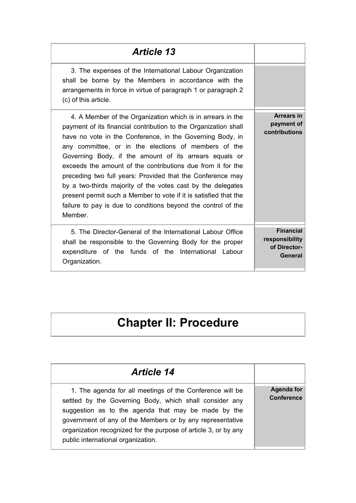<span id="page-14-0"></span>

| <b>Article 13</b>                                                                                                                                                                                                                                                                                                                                                                                                                                                                                                                                                                                                                                        |                                                               |
|----------------------------------------------------------------------------------------------------------------------------------------------------------------------------------------------------------------------------------------------------------------------------------------------------------------------------------------------------------------------------------------------------------------------------------------------------------------------------------------------------------------------------------------------------------------------------------------------------------------------------------------------------------|---------------------------------------------------------------|
| 3. The expenses of the International Labour Organization<br>shall be borne by the Members in accordance with the<br>arrangements in force in virtue of paragraph 1 or paragraph 2<br>(c) of this article.                                                                                                                                                                                                                                                                                                                                                                                                                                                |                                                               |
| 4. A Member of the Organization which is in arrears in the<br>payment of its financial contribution to the Organization shall<br>have no vote in the Conference, in the Governing Body, in<br>any committee, or in the elections of members of the<br>Governing Body, if the amount of its arrears equals or<br>exceeds the amount of the contributions due from it for the<br>preceding two full years: Provided that the Conference may<br>by a two-thirds majority of the votes cast by the delegates<br>present permit such a Member to vote if it is satisfied that the<br>failure to pay is due to conditions beyond the control of the<br>Member. | <b>Arrears in</b><br>payment of<br>contributions              |
| 5. The Director-General of the International Labour Office<br>shall be responsible to the Governing Body for the proper<br>expenditure of the funds of the International Labour<br>Organization.                                                                                                                                                                                                                                                                                                                                                                                                                                                         | <b>Financial</b><br>responsibility<br>of Director-<br>General |

# **Chapter II: Procedure**

| <b>Article 14</b>                                                                                                                                                                                                                                                                                                                                |                                        |
|--------------------------------------------------------------------------------------------------------------------------------------------------------------------------------------------------------------------------------------------------------------------------------------------------------------------------------------------------|----------------------------------------|
| 1. The agenda for all meetings of the Conference will be<br>settled by the Governing Body, which shall consider any<br>suggestion as to the agenda that may be made by the<br>government of any of the Members or by any representative<br>organization recognized for the purpose of article 3, or by any<br>public international organization. | <b>Agenda for</b><br><b>Conference</b> |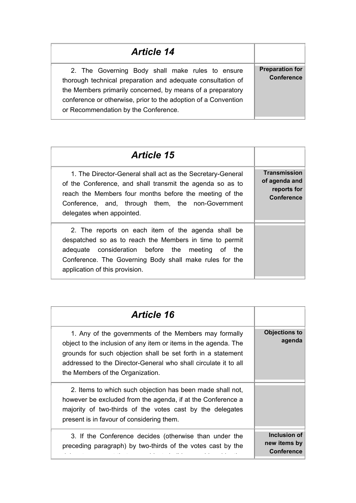<span id="page-15-0"></span>

| <b>Article 14</b>                                                                                                                                                                                                                                                                       |                                             |
|-----------------------------------------------------------------------------------------------------------------------------------------------------------------------------------------------------------------------------------------------------------------------------------------|---------------------------------------------|
| 2. The Governing Body shall make rules to ensure<br>thorough technical preparation and adequate consultation of<br>the Members primarily concerned, by means of a preparatory<br>conference or otherwise, prior to the adoption of a Convention<br>or Recommendation by the Conference. | <b>Preparation for</b><br><b>Conference</b> |

| <b>Article 15</b>                                                                                                                                                                                                                                                    |                                                                          |
|----------------------------------------------------------------------------------------------------------------------------------------------------------------------------------------------------------------------------------------------------------------------|--------------------------------------------------------------------------|
| 1. The Director-General shall act as the Secretary-General<br>of the Conference, and shall transmit the agenda so as to<br>reach the Members four months before the meeting of the<br>Conference, and, through them, the non-Government<br>delegates when appointed. | <b>Transmission</b><br>of agenda and<br>reports for<br><b>Conference</b> |
| 2. The reports on each item of the agenda shall be<br>despatched so as to reach the Members in time to permit<br>adequate consideration before the meeting of<br>the<br>Conference. The Governing Body shall make rules for the<br>application of this provision.    |                                                                          |

| <b>Article 16</b>                                                                                                                                                                                                                                                                               |                                                   |
|-------------------------------------------------------------------------------------------------------------------------------------------------------------------------------------------------------------------------------------------------------------------------------------------------|---------------------------------------------------|
| 1. Any of the governments of the Members may formally<br>object to the inclusion of any item or items in the agenda. The<br>grounds for such objection shall be set forth in a statement<br>addressed to the Director-General who shall circulate it to all<br>the Members of the Organization. | <b>Objections to</b><br>agenda                    |
| 2. Items to which such objection has been made shall not,<br>however be excluded from the agenda, if at the Conference a<br>majority of two-thirds of the votes cast by the delegates<br>present is in favour of considering them.                                                              |                                                   |
| 3. If the Conference decides (otherwise than under the<br>preceding paragraph) by two-thirds of the votes cast by the                                                                                                                                                                           | Inclusion of<br>new items by<br><b>Conference</b> |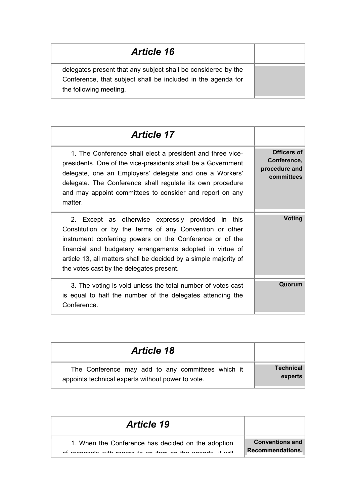<span id="page-16-0"></span>

| <b>Article 16</b>                                                                                                                                       |  |
|---------------------------------------------------------------------------------------------------------------------------------------------------------|--|
| delegates present that any subject shall be considered by the<br>Conference, that subject shall be included in the agenda for<br>the following meeting. |  |

| <b>Article 17</b>                                                                                                                                                                                                                                                                                                                                        |                                                                  |
|----------------------------------------------------------------------------------------------------------------------------------------------------------------------------------------------------------------------------------------------------------------------------------------------------------------------------------------------------------|------------------------------------------------------------------|
| 1. The Conference shall elect a president and three vice-<br>presidents. One of the vice-presidents shall be a Government<br>delegate, one an Employers' delegate and one a Workers'<br>delegate. The Conference shall regulate its own procedure<br>and may appoint committees to consider and report on any<br>matter.                                 | <b>Officers of</b><br>Conference,<br>procedure and<br>committees |
| Except as otherwise expressly provided in this<br>2.<br>Constitution or by the terms of any Convention or other<br>instrument conferring powers on the Conference or of the<br>financial and budgetary arrangements adopted in virtue of<br>article 13, all matters shall be decided by a simple majority of<br>the votes cast by the delegates present. | <b>Voting</b>                                                    |
| 3. The voting is void unless the total number of votes cast<br>is equal to half the number of the delegates attending the<br>Conference.                                                                                                                                                                                                                 | Quorum                                                           |

| <b>Article 18</b>                                 |                  |
|---------------------------------------------------|------------------|
| The Conference may add to any committees which it | <b>Technical</b> |
| appoints technical experts without power to vote. | experts          |

| <b>Article 19</b>                                          |                  |
|------------------------------------------------------------|------------------|
| 1. When the Conference has decided on the adoption         | Conventions and  |
| af proposolo with regard to an item an the seconds it will | Recommendations. |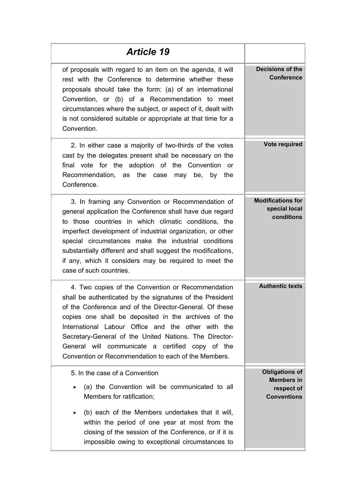<span id="page-17-0"></span>

|                                                                                | <b>Article 19</b>                                                                                                                                                                                                                                                                                                                                                                                                                                             |
|--------------------------------------------------------------------------------|---------------------------------------------------------------------------------------------------------------------------------------------------------------------------------------------------------------------------------------------------------------------------------------------------------------------------------------------------------------------------------------------------------------------------------------------------------------|
| <b>Decisions of the</b><br><b>Conference</b>                                   | of proposals with regard to an item on the agenda, it will<br>rest with the Conference to determine whether these<br>proposals should take the form: (a) of an international<br>Convention, or (b) of a Recommendation to meet<br>circumstances where the subject, or aspect of it, dealt with<br>is not considered suitable or appropriate at that time for a<br>Convention.                                                                                 |
| Vote required                                                                  | 2. In either case a majority of two-thirds of the votes<br>cast by the delegates present shall be necessary on the<br>final vote for the adoption of the Convention or<br>Recommendation, as the case<br>may be,<br>by the<br>Conference.                                                                                                                                                                                                                     |
| <b>Modifications for</b><br>special local<br>conditions                        | 3. In framing any Convention or Recommendation of<br>general application the Conference shall have due regard<br>to those countries in which climatic conditions, the<br>imperfect development of industrial organization, or other<br>special circumstances make the industrial conditions<br>substantially different and shall suggest the modifications,<br>if any, which it considers may be required to meet the<br>case of such countries.              |
| <b>Authentic texts</b>                                                         | 4. Two copies of the Convention or Recommendation<br>shall be authenticated by the signatures of the President<br>of the Conference and of the Director-General. Of these<br>copies one shall be deposited in the archives of the<br>International Labour Office and the other with the<br>Secretary-General of the United Nations. The Director-<br>General will communicate a certified copy of the<br>Convention or Recommendation to each of the Members. |
| <b>Obligations of</b><br><b>Members in</b><br>respect of<br><b>Conventions</b> | 5. In the case of a Convention<br>(a) the Convention will be communicated to all<br>$\bullet$<br>Members for ratification;<br>(b) each of the Members undertakes that it will,<br>$\bullet$<br>within the period of one year at most from the<br>closing of the session of the Conference, or if it is<br>impossible owing to exceptional circumstances to                                                                                                    |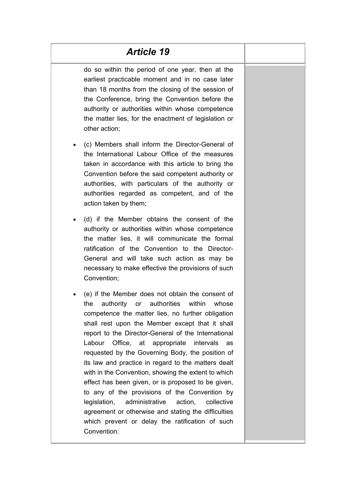### *Article 19*

do so within the period of one year, then at the earliest practicable moment and in no case later than 18 months from the closing of the session of the Conference, bring the Convention before the authority or authorities within whose competence the matter lies, for the enactment of legislation or other action;

- (c) Members shall inform the Director-General of the International Labour Office of the measures taken in accordance with this article to bring the Convention before the said competent authority or authorities, with particulars of the authority or authorities regarded as competent, and of the action taken by them;
- (d) if the Member obtains the consent of the authority or authorities within whose competence the matter lies, it will communicate the formal ratification of the Convention to the Director-General and will take such action as may be necessary to make effective the provisions of such Convention;
- (e) if the Member does not obtain the consent of the authority or authorities within whose competence the matter lies, no further obligation shall rest upon the Member except that it shall report to the Director-General of the International Labour Office, at appropriate intervals as requested by the Governing Body, the position of its law and practice in regard to the matters dealt with in the Convention, showing the extent to which effect has been given, or is proposed to be given, to any of the provisions of the Convention by legislation, administrative action, collective agreement or otherwise and stating the difficulties which prevent or delay the ratification of such **Convention**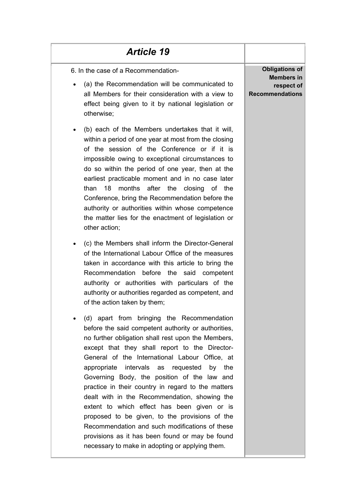### *Article 19*

<span id="page-19-0"></span>6. In the case of a Recommendation-

- (a) the Recommendation will be communicated to all Members for their consideration with a view to effect being given to it by national legislation or otherwise;
- (b) each of the Members undertakes that it will. within a period of one year at most from the closing of the session of the Conference or if it is impossible owing to exceptional circumstances to do so within the period of one year, then at the earliest practicable moment and in no case later than 18 months after the closing of the Conference, bring the Recommendation before the authority or authorities within whose competence the matter lies for the enactment of legislation or other action;
- (c) the Members shall inform the Director-General of the International Labour Office of the measures taken in accordance with this article to bring the Recommendation before the said competent authority or authorities with particulars of the authority or authorities regarded as competent, and of the action taken by them;
- (d) apart from bringing the Recommendation before the said competent authority or authorities, no further obligation shall rest upon the Members, except that they shall report to the Director-General of the International Labour Office, at appropriate intervals as requested by the Governing Body, the position of the law and practice in their country in regard to the matters dealt with in the Recommendation, showing the extent to which effect has been given or is proposed to be given, to the provisions of the Recommendation and such modifications of these provisions as it has been found or may be found necessary to make in adopting or applying them.

**Obligations of Members in respect of Recommendations**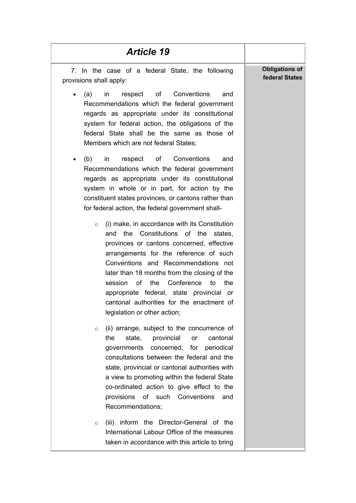<span id="page-20-0"></span>

| <b>Article 19</b>                                                                                                                                                                                                                                                                                                                                                                                                                                                           |                                                |
|-----------------------------------------------------------------------------------------------------------------------------------------------------------------------------------------------------------------------------------------------------------------------------------------------------------------------------------------------------------------------------------------------------------------------------------------------------------------------------|------------------------------------------------|
| 7. In the case of a federal State, the following<br>provisions shall apply:                                                                                                                                                                                                                                                                                                                                                                                                 | <b>Obligations of</b><br><b>federal States</b> |
| Conventions<br>(a)<br>respect<br>of<br>in<br>and<br>$\bullet$<br>Recommendations which the federal government<br>regards as appropriate under its constitutional<br>system for federal action, the obligations of the<br>federal State shall be the same as those of<br>Members which are not federal States;                                                                                                                                                               |                                                |
| Conventions<br>(b)<br>respect<br>оf<br>in<br>and<br>٠<br>Recommendations which the federal government<br>regards as appropriate under its constitutional<br>system in whole or in part, for action by the<br>constituent states provinces, or cantons rather than<br>for federal action, the federal government shall-                                                                                                                                                      |                                                |
| (i) make, in accordance with its Constitution<br>$\circ$<br>Constitutions<br>the<br>of the<br>and<br>states.<br>provinces or cantons concerned, effective<br>arrangements for the reference of such<br>Conventions and Recommendations not<br>later than 18 months from the closing of the<br>0f<br>the<br>Conference<br>session<br>to<br>the<br>appropriate federal, state provincial<br>or -<br>cantonal authorities for the enactment of<br>legislation or other action; |                                                |
| (ii) arrange, subject to the concurrence of<br>$\circ$<br>the<br>state,<br>provincial<br>cantonal<br><b>or</b><br>governments concerned, for periodical<br>consultations between the federal and the<br>state, provincial or cantonal authorities with<br>a view to promoting within the federal State<br>co-ordinated action to give effect to the<br>provisions of such Conventions<br>and<br>Recommendations;                                                            |                                                |
| (iii) inform the Director-General of the<br>$\circ$<br>International Labour Office of the measures<br>taken in accordance with this article to bring                                                                                                                                                                                                                                                                                                                        |                                                |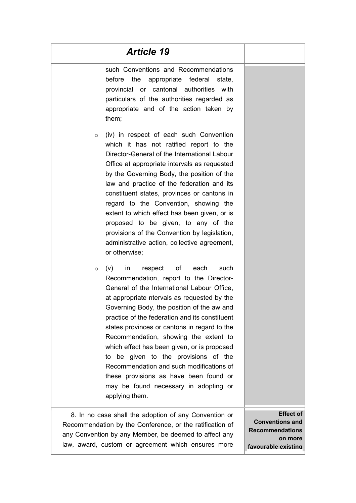#### <span id="page-21-0"></span>*Article 19*  such Conventions and Recommendations before the appropriate federal state, provincial or cantonal authorities with particulars of the authorities regarded as appropriate and of the action taken by them; o (iv) in respect of each such Convention which it has not ratified report to the Director-General of the International Labour Office at appropriate intervals as requested by the Governing Body, the position of the law and practice of the federation and its constituent states, provinces or cantons in regard to the Convention, showing the extent to which effect has been given, or is proposed to be given, to any of the provisions of the Convention by legislation, administrative action, collective agreement, or otherwise; o (v) in respect of each such Recommendation, report to the Director-General of the International Labour Office, at appropriate ntervals as requested by the Governing Body, the position of the aw and practice of the federation and its constituent states provinces or cantons in regard to the Recommendation, showing the extent to which effect has been given, or is proposed to be given to the provisions of the Recommendation and such modifications of these provisions as have been found or may be found necessary in adopting or applying them. 8. In no case shall the adoption of any Convention or Recommendation by the Conference, or the ratification of any Convention by any Member, be deemed to affect any law, award, custom or agreement which ensures more **Effect of Conventions and Recommendations on more favourable existing**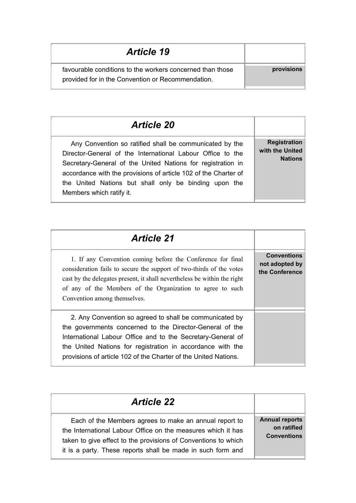<span id="page-22-0"></span>

| <b>Article 19</b>                                                                                              |            |
|----------------------------------------------------------------------------------------------------------------|------------|
| favourable conditions to the workers concerned than those<br>provided for in the Convention or Recommendation. | provisions |

| <b>Article 20</b>                                                                                                                                                                                                                                                                                                                            |                                                   |
|----------------------------------------------------------------------------------------------------------------------------------------------------------------------------------------------------------------------------------------------------------------------------------------------------------------------------------------------|---------------------------------------------------|
| Any Convention so ratified shall be communicated by the<br>Director-General of the International Labour Office to the<br>Secretary-General of the United Nations for registration in<br>accordance with the provisions of article 102 of the Charter of<br>the United Nations but shall only be binding upon the<br>Members which ratify it. | Registration<br>with the United<br><b>Nations</b> |

| <b>Article 21</b>                                                                                                                                                                                                                                                                                                   |                                                        |
|---------------------------------------------------------------------------------------------------------------------------------------------------------------------------------------------------------------------------------------------------------------------------------------------------------------------|--------------------------------------------------------|
| 1. If any Convention coming before the Conference for final<br>consideration fails to secure the support of two-thirds of the votes<br>cast by the delegates present, it shall nevertheless be within the right<br>of any of the Members of the Organization to agree to such<br>Convention among themselves.       | <b>Conventions</b><br>not adopted by<br>the Conference |
| 2. Any Convention so agreed to shall be communicated by<br>the governments concerned to the Director-General of the<br>International Labour Office and to the Secretary-General of<br>the United Nations for registration in accordance with the<br>provisions of article 102 of the Charter of the United Nations. |                                                        |

| <b>Article 22</b>                                                                                                                                                                                                                                       |                                                            |
|---------------------------------------------------------------------------------------------------------------------------------------------------------------------------------------------------------------------------------------------------------|------------------------------------------------------------|
| Each of the Members agrees to make an annual report to<br>the International Labour Office on the measures which it has<br>taken to give effect to the provisions of Conventions to which<br>it is a party. These reports shall be made in such form and | <b>Annual reports</b><br>on ratified<br><b>Conventions</b> |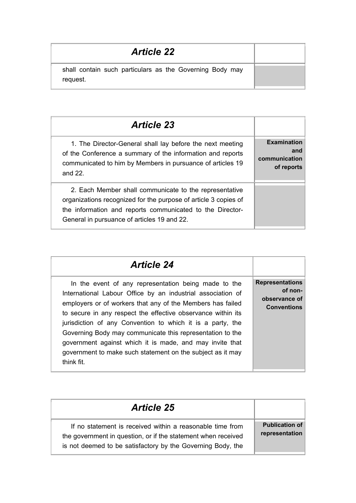<span id="page-23-0"></span>

| <b>Article 22</b>                                                    |  |
|----------------------------------------------------------------------|--|
| shall contain such particulars as the Governing Body may<br>request. |  |

| <b>Article 23</b>                                                                                                                                                                                                                     |                                                          |
|---------------------------------------------------------------------------------------------------------------------------------------------------------------------------------------------------------------------------------------|----------------------------------------------------------|
| 1. The Director-General shall lay before the next meeting<br>of the Conference a summary of the information and reports<br>communicated to him by Members in pursuance of articles 19<br>and $221$                                    | <b>Examination</b><br>and<br>communication<br>of reports |
| 2. Each Member shall communicate to the representative<br>organizations recognized for the purpose of article 3 copies of<br>the information and reports communicated to the Director-<br>General in pursuance of articles 19 and 22. |                                                          |

| <b>Article 24</b>                                                                                                                                                                                                                                                                                                                                                                                                                                                                                                    |                                                                          |
|----------------------------------------------------------------------------------------------------------------------------------------------------------------------------------------------------------------------------------------------------------------------------------------------------------------------------------------------------------------------------------------------------------------------------------------------------------------------------------------------------------------------|--------------------------------------------------------------------------|
| In the event of any representation being made to the<br>International Labour Office by an industrial association of<br>employers or of workers that any of the Members has failed<br>to secure in any respect the effective observance within its<br>jurisdiction of any Convention to which it is a party, the<br>Governing Body may communicate this representation to the<br>government against which it is made, and may invite that<br>government to make such statement on the subject as it may<br>think fit. | <b>Representations</b><br>of non-<br>observance of<br><b>Conventions</b> |

| <b>Article 25</b>                                                                                                                                                                         |                                         |
|-------------------------------------------------------------------------------------------------------------------------------------------------------------------------------------------|-----------------------------------------|
| If no statement is received within a reasonable time from<br>the government in question, or if the statement when received<br>is not deemed to be satisfactory by the Governing Body, the | <b>Publication of</b><br>representation |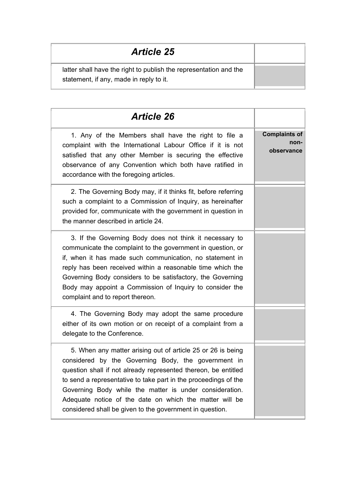<span id="page-24-0"></span>

| <b>Article 25</b>                                                                                            |  |
|--------------------------------------------------------------------------------------------------------------|--|
| latter shall have the right to publish the representation and the<br>statement, if any, made in reply to it. |  |

| <b>Article 26</b>                                                                                                                                                                                                                                                                                                                                                                                                                         |                                            |
|-------------------------------------------------------------------------------------------------------------------------------------------------------------------------------------------------------------------------------------------------------------------------------------------------------------------------------------------------------------------------------------------------------------------------------------------|--------------------------------------------|
| 1. Any of the Members shall have the right to file a<br>complaint with the International Labour Office if it is not<br>satisfied that any other Member is securing the effective<br>observance of any Convention which both have ratified in<br>accordance with the foregoing articles.                                                                                                                                                   | <b>Complaints of</b><br>non-<br>observance |
| 2. The Governing Body may, if it thinks fit, before referring<br>such a complaint to a Commission of Inquiry, as hereinafter<br>provided for, communicate with the government in question in<br>the manner described in article 24.                                                                                                                                                                                                       |                                            |
| 3. If the Governing Body does not think it necessary to<br>communicate the complaint to the government in question, or<br>if, when it has made such communication, no statement in<br>reply has been received within a reasonable time which the<br>Governing Body considers to be satisfactory, the Governing<br>Body may appoint a Commission of Inquiry to consider the<br>complaint and to report thereon.                            |                                            |
| 4. The Governing Body may adopt the same procedure<br>either of its own motion or on receipt of a complaint from a<br>delegate to the Conference.                                                                                                                                                                                                                                                                                         |                                            |
| 5. When any matter arising out of article 25 or 26 is being<br>considered by the Governing Body, the government in<br>question shall if not already represented thereon, be entitled<br>to send a representative to take part in the proceedings of the<br>Governing Body while the matter is under consideration.<br>Adequate notice of the date on which the matter will be<br>considered shall be given to the government in question. |                                            |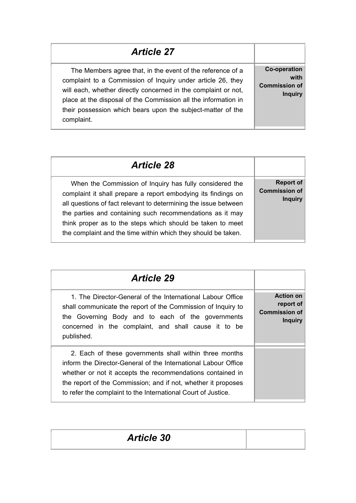<span id="page-25-0"></span>

| <b>Article 27</b>                                                                                                                                                                                                                                                                                                                          |                                                                       |
|--------------------------------------------------------------------------------------------------------------------------------------------------------------------------------------------------------------------------------------------------------------------------------------------------------------------------------------------|-----------------------------------------------------------------------|
| The Members agree that, in the event of the reference of a<br>complaint to a Commission of Inquiry under article 26, they<br>will each, whether directly concerned in the complaint or not,<br>place at the disposal of the Commission all the information in<br>their possession which bears upon the subject-matter of the<br>complaint. | <b>Co-operation</b><br>with<br><b>Commission of</b><br><b>Inquiry</b> |

| <b>Article 28</b>                                                                                                                                                                                                                                                                                                                                                                       |                                              |
|-----------------------------------------------------------------------------------------------------------------------------------------------------------------------------------------------------------------------------------------------------------------------------------------------------------------------------------------------------------------------------------------|----------------------------------------------|
| When the Commission of Inquiry has fully considered the<br>complaint it shall prepare a report embodying its findings on<br>all questions of fact relevant to determining the issue between<br>the parties and containing such recommendations as it may<br>think proper as to the steps which should be taken to meet<br>the complaint and the time within which they should be taken. | Report of<br>Commission of<br><b>Inquiry</b> |

| <b>Article 29</b>                                                                                                                                                                                                                                                                                                        |                                                                         |
|--------------------------------------------------------------------------------------------------------------------------------------------------------------------------------------------------------------------------------------------------------------------------------------------------------------------------|-------------------------------------------------------------------------|
| 1. The Director-General of the International Labour Office<br>shall communicate the report of the Commission of Inquiry to<br>the Governing Body and to each of the governments<br>concerned in the complaint, and shall cause it to be<br>published.                                                                    | <b>Action on</b><br>report of<br><b>Commission of</b><br><b>Inquiry</b> |
| 2. Each of these governments shall within three months<br>inform the Director-General of the International Labour Office<br>whether or not it accepts the recommendations contained in<br>the report of the Commission; and if not, whether it proposes<br>to refer the complaint to the International Court of Justice. |                                                                         |

| <b>Article 30</b> |  |
|-------------------|--|
|                   |  |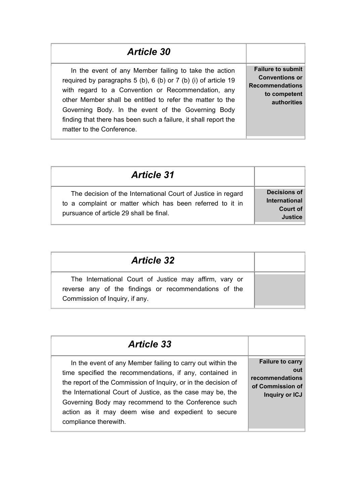<span id="page-26-0"></span>

| <b>Article 30</b>                                                                                                                                                                                                                                                                                                                                                                                      |                                                                                                     |
|--------------------------------------------------------------------------------------------------------------------------------------------------------------------------------------------------------------------------------------------------------------------------------------------------------------------------------------------------------------------------------------------------------|-----------------------------------------------------------------------------------------------------|
| In the event of any Member failing to take the action<br>required by paragraphs $5$ (b), $6$ (b) or $7$ (b) (i) of article 19<br>with regard to a Convention or Recommendation, any<br>other Member shall be entitled to refer the matter to the<br>Governing Body. In the event of the Governing Body<br>finding that there has been such a failure, it shall report the<br>matter to the Conference. | Failure to submit<br><b>Conventions or</b><br><b>Recommendations</b><br>to competent<br>authorities |

| <b>Article 31</b>                                                                                                                                                    |                                                             |
|----------------------------------------------------------------------------------------------------------------------------------------------------------------------|-------------------------------------------------------------|
| The decision of the International Court of Justice in regard<br>to a complaint or matter which has been referred to it in<br>pursuance of article 29 shall be final. | Decisions of<br>International<br>Court of<br><b>Justice</b> |

| <b>Article 32</b>                                                                                                                                 |  |
|---------------------------------------------------------------------------------------------------------------------------------------------------|--|
| The International Court of Justice may affirm, vary or<br>reverse any of the findings or recommendations of the<br>Commission of Inquiry, if any. |  |

| <b>Article 33</b>                                                                                                                                                                                                                                                                                                                                                                             |                                                                                         |
|-----------------------------------------------------------------------------------------------------------------------------------------------------------------------------------------------------------------------------------------------------------------------------------------------------------------------------------------------------------------------------------------------|-----------------------------------------------------------------------------------------|
| In the event of any Member failing to carry out within the<br>time specified the recommendations, if any, contained in<br>the report of the Commission of Inquiry, or in the decision of<br>the International Court of Justice, as the case may be, the<br>Governing Body may recommend to the Conference such<br>action as it may deem wise and expedient to secure<br>compliance therewith. | <b>Failure to carry</b><br>out<br>recommendations<br>of Commission of<br>Inquiry or ICJ |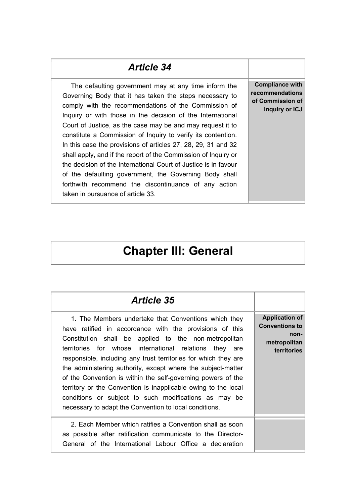#### *Article 34*

<span id="page-27-0"></span>The defaulting government may at any time inform the Governing Body that it has taken the steps necessary to comply with the recommendations of the Commission of Inquiry or with those in the decision of the International Court of Justice, as the case may be and may request it to constitute a Commission of Inquiry to verify its contention. In this case the provisions of articles 27, 28, 29, 31 and 32 shall apply, and if the report of the Commission of Inquiry or the decision of the International Court of Justice is in favour of the defaulting government, the Governing Body shall forthwith recommend the discontinuance of any action taken in pursuance of article 33. **recommendations of Commission of** 

**Compliance with** 

**Inquiry or ICJ** 

### **Chapter III: General**

| <b>Article 35</b>                                                                                                                                                                                                                                                                                                                                                                                                                                                                                                                                                                                                          |                                                                                              |
|----------------------------------------------------------------------------------------------------------------------------------------------------------------------------------------------------------------------------------------------------------------------------------------------------------------------------------------------------------------------------------------------------------------------------------------------------------------------------------------------------------------------------------------------------------------------------------------------------------------------------|----------------------------------------------------------------------------------------------|
| 1. The Members undertake that Conventions which they<br>have ratified in accordance with the provisions of this<br>Constitution shall be applied to the non-metropolitan<br>territories for whose international relations they are<br>responsible, including any trust territories for which they are<br>the administering authority, except where the subject-matter<br>of the Convention is within the self-governing powers of the<br>territory or the Convention is inapplicable owing to the local<br>conditions or subject to such modifications as may be<br>necessary to adapt the Convention to local conditions. | <b>Application of</b><br><b>Conventions to</b><br>non-<br>metropolitan<br><b>territories</b> |
| 2. Each Member which ratifies a Convention shall as soon<br>as possible after ratification communicate to the Director-<br>General of the International Labour Office a declaration                                                                                                                                                                                                                                                                                                                                                                                                                                        |                                                                                              |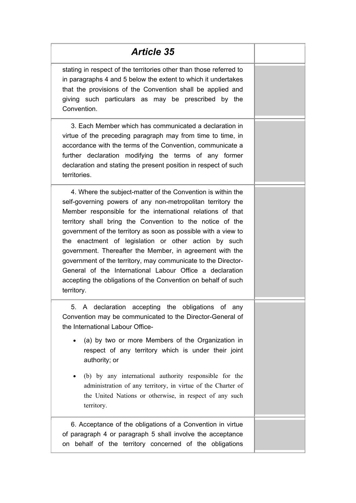| <b>Article 35</b>                                                                                                                                                                                                                                                                                                                                                                                                                                                                                                                                                                                                                                       |  |
|---------------------------------------------------------------------------------------------------------------------------------------------------------------------------------------------------------------------------------------------------------------------------------------------------------------------------------------------------------------------------------------------------------------------------------------------------------------------------------------------------------------------------------------------------------------------------------------------------------------------------------------------------------|--|
| stating in respect of the territories other than those referred to<br>in paragraphs 4 and 5 below the extent to which it undertakes<br>that the provisions of the Convention shall be applied and<br>giving such particulars as may be prescribed by the<br>Convention.                                                                                                                                                                                                                                                                                                                                                                                 |  |
| 3. Each Member which has communicated a declaration in<br>virtue of the preceding paragraph may from time to time, in<br>accordance with the terms of the Convention, communicate a<br>further declaration modifying the terms of any former<br>declaration and stating the present position in respect of such<br>territories.                                                                                                                                                                                                                                                                                                                         |  |
| 4. Where the subject-matter of the Convention is within the<br>self-governing powers of any non-metropolitan territory the<br>Member responsible for the international relations of that<br>territory shall bring the Convention to the notice of the<br>government of the territory as soon as possible with a view to<br>the enactment of legislation or other action by such<br>government. Thereafter the Member, in agreement with the<br>government of the territory, may communicate to the Director-<br>General of the International Labour Office a declaration<br>accepting the obligations of the Convention on behalf of such<br>territory. |  |
| 5. A declaration accepting the obligations of any<br>Convention may be communicated to the Director-General of<br>the International Labour Office-                                                                                                                                                                                                                                                                                                                                                                                                                                                                                                      |  |
| (a) by two or more Members of the Organization in<br>respect of any territory which is under their joint<br>authority; or                                                                                                                                                                                                                                                                                                                                                                                                                                                                                                                               |  |
| (b) by any international authority responsible for the<br>administration of any territory, in virtue of the Charter of<br>the United Nations or otherwise, in respect of any such<br>territory.                                                                                                                                                                                                                                                                                                                                                                                                                                                         |  |
| 6. Acceptance of the obligations of a Convention in virtue<br>of paragraph 4 or paragraph 5 shall involve the acceptance<br>on behalf of the territory concerned of the obligations                                                                                                                                                                                                                                                                                                                                                                                                                                                                     |  |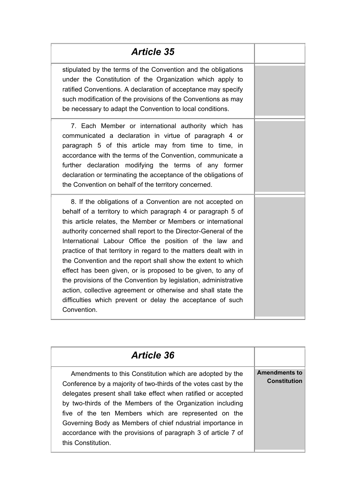<span id="page-29-0"></span>

| <b>Article 35</b>                                                                                                                                                                                                                                                                                                                                                                                                                                                                                                                                                                                                                                                                                                                             |  |
|-----------------------------------------------------------------------------------------------------------------------------------------------------------------------------------------------------------------------------------------------------------------------------------------------------------------------------------------------------------------------------------------------------------------------------------------------------------------------------------------------------------------------------------------------------------------------------------------------------------------------------------------------------------------------------------------------------------------------------------------------|--|
| stipulated by the terms of the Convention and the obligations<br>under the Constitution of the Organization which apply to<br>ratified Conventions. A declaration of acceptance may specify<br>such modification of the provisions of the Conventions as may<br>be necessary to adapt the Convention to local conditions.                                                                                                                                                                                                                                                                                                                                                                                                                     |  |
| 7. Each Member or international authority which has<br>communicated a declaration in virtue of paragraph 4 or<br>paragraph 5 of this article may from time to time, in<br>accordance with the terms of the Convention, communicate a<br>further declaration modifying the terms of any former<br>declaration or terminating the acceptance of the obligations of<br>the Convention on behalf of the territory concerned.                                                                                                                                                                                                                                                                                                                      |  |
| 8. If the obligations of a Convention are not accepted on<br>behalf of a territory to which paragraph 4 or paragraph 5 of<br>this article relates, the Member or Members or international<br>authority concerned shall report to the Director-General of the<br>International Labour Office the position of the law and<br>practice of that territory in regard to the matters dealt with in<br>the Convention and the report shall show the extent to which<br>effect has been given, or is proposed to be given, to any of<br>the provisions of the Convention by legislation, administrative<br>action, collective agreement or otherwise and shall state the<br>difficulties which prevent or delay the acceptance of such<br>Convention. |  |

| <b>Article 36</b>                                                                                                                                                                                                                                                                                                                                                                                                                                                       |                                             |
|-------------------------------------------------------------------------------------------------------------------------------------------------------------------------------------------------------------------------------------------------------------------------------------------------------------------------------------------------------------------------------------------------------------------------------------------------------------------------|---------------------------------------------|
| Amendments to this Constitution which are adopted by the<br>Conference by a majority of two-thirds of the votes cast by the<br>delegates present shall take effect when ratified or accepted<br>by two-thirds of the Members of the Organization including<br>five of the ten Members which are represented on the<br>Governing Body as Members of chief ndustrial importance in<br>accordance with the provisions of paragraph 3 of article 7 of<br>this Constitution. | <b>Amendments to</b><br><b>Constitution</b> |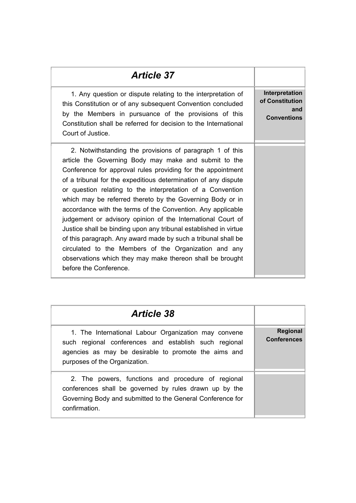<span id="page-30-0"></span>

| <b>Article 37</b>                                                                                                                                                                                                                                                                                                                                                                                                                                                                                                                                                                                                                                                                                                                                                                                |                                                                |
|--------------------------------------------------------------------------------------------------------------------------------------------------------------------------------------------------------------------------------------------------------------------------------------------------------------------------------------------------------------------------------------------------------------------------------------------------------------------------------------------------------------------------------------------------------------------------------------------------------------------------------------------------------------------------------------------------------------------------------------------------------------------------------------------------|----------------------------------------------------------------|
| 1. Any question or dispute relating to the interpretation of<br>this Constitution or of any subsequent Convention concluded<br>by the Members in pursuance of the provisions of this<br>Constitution shall be referred for decision to the International<br>Court of Justice.                                                                                                                                                                                                                                                                                                                                                                                                                                                                                                                    | Interpretation<br>of Constitution<br>and<br><b>Conventions</b> |
| 2. Notwithstanding the provisions of paragraph 1 of this<br>article the Governing Body may make and submit to the<br>Conference for approval rules providing for the appointment<br>of a tribunal for the expeditious determination of any dispute<br>or question relating to the interpretation of a Convention<br>which may be referred thereto by the Governing Body or in<br>accordance with the terms of the Convention. Any applicable<br>judgement or advisory opinion of the International Court of<br>Justice shall be binding upon any tribunal established in virtue<br>of this paragraph. Any award made by such a tribunal shall be<br>circulated to the Members of the Organization and any<br>observations which they may make thereon shall be brought<br>before the Conference. |                                                                |

| <b>Article 38</b>                                                                                                                                                                                      |                                       |
|--------------------------------------------------------------------------------------------------------------------------------------------------------------------------------------------------------|---------------------------------------|
| 1. The International Labour Organization may convene<br>such regional conferences and establish such regional<br>agencies as may be desirable to promote the aims and<br>purposes of the Organization. | <b>Regional</b><br><b>Conferences</b> |
| 2. The powers, functions and procedure of regional<br>conferences shall be governed by rules drawn up by the<br>Governing Body and submitted to the General Conference for<br>confirmation.            |                                       |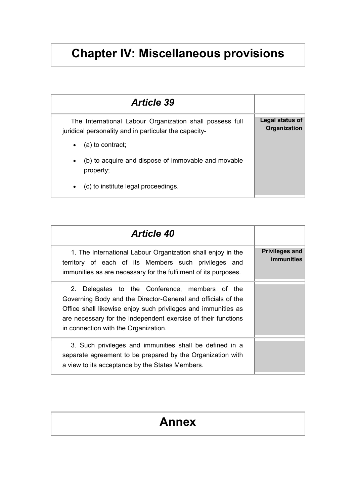# <span id="page-31-0"></span>**Chapter IV: Miscellaneous provisions**

| <b>Article 39</b>                                                                                                 |                                 |
|-------------------------------------------------------------------------------------------------------------------|---------------------------------|
| The International Labour Organization shall possess full<br>juridical personality and in particular the capacity- | Legal status of<br>Organization |
| (a) to contract;                                                                                                  |                                 |
| (b) to acquire and dispose of immovable and movable<br>$\bullet$<br>property;                                     |                                 |
| (c) to institute legal proceedings.<br>$\bullet$                                                                  |                                 |

| <b>Article 40</b>                                                                                                                                                                                                                                                                           |                                            |
|---------------------------------------------------------------------------------------------------------------------------------------------------------------------------------------------------------------------------------------------------------------------------------------------|--------------------------------------------|
| 1. The International Labour Organization shall enjoy in the<br>territory of each of its Members such privileges and<br>immunities as are necessary for the fulfilment of its purposes.                                                                                                      | <b>Privileges and</b><br><i>immunities</i> |
| Delegates to the Conference, members of the<br>2.<br>Governing Body and the Director-General and officials of the<br>Office shall likewise enjoy such privileges and immunities as<br>are necessary for the independent exercise of their functions<br>in connection with the Organization. |                                            |
| 3. Such privileges and immunities shall be defined in a<br>separate agreement to be prepared by the Organization with<br>a view to its acceptance by the States Members.                                                                                                                    |                                            |

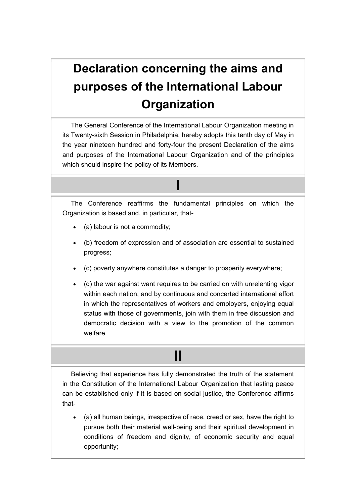The General Conference of the International Labour Organization meeting in its Twenty-sixth Session in Philadelphia, hereby adopts this tenth day of May in the year nineteen hundred and forty-four the present Declaration of the aims and purposes of the International Labour Organization and of the principles which should inspire the policy of its Members.

The Conference reaffirms the fundamental principles on which the Organization is based and, in particular, that-

**I**

- (a) labour is not a commodity;
- (b) freedom of expression and of association are essential to sustained progress;
- (c) poverty anywhere constitutes a danger to prosperity everywhere;
- (d) the war against want requires to be carried on with unrelenting vigor within each nation, and by continuous and concerted international effort in which the representatives of workers and employers, enjoying equal status with those of governments, join with them in free discussion and democratic decision with a view to the promotion of the common welfare.

**II**

Believing that experience has fully demonstrated the truth of the statement in the Constitution of the International Labour Organization that lasting peace can be established only if it is based on social justice, the Conference affirms that-

• (a) all human beings, irrespective of race, creed or sex, have the right to pursue both their material well-being and their spiritual development in conditions of freedom and dignity, of economic security and equal opportunity;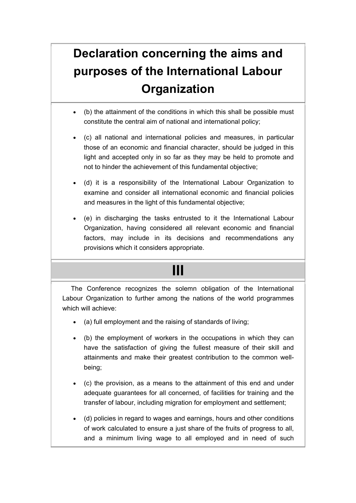- (b) the attainment of the conditions in which this shall be possible must constitute the central aim of national and international policy;
- (c) all national and international policies and measures, in particular those of an economic and financial character, should be judged in this light and accepted only in so far as they may be held to promote and not to hinder the achievement of this fundamental objective;
- (d) it is a responsibility of the International Labour Organization to examine and consider all international economic and financial policies and measures in the light of this fundamental objective;
- (e) in discharging the tasks entrusted to it the International Labour Organization, having considered all relevant economic and financial factors, may include in its decisions and recommendations any provisions which it considers appropriate.

# **III**

The Conference recognizes the solemn obligation of the International Labour Organization to further among the nations of the world programmes which will achieve:

- (a) full employment and the raising of standards of living;
- (b) the employment of workers in the occupations in which they can have the satisfaction of giving the fullest measure of their skill and attainments and make their greatest contribution to the common wellbeing;
- (c) the provision, as a means to the attainment of this end and under adequate guarantees for all concerned, of facilities for training and the transfer of labour, including migration for employment and settlement;
- (d) policies in regard to wages and earnings, hours and other conditions of work calculated to ensure a just share of the fruits of progress to all, and a minimum living wage to all employed and in need of such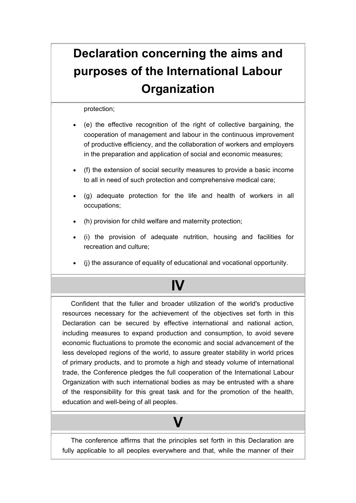protection;

- (e) the effective recognition of the right of collective bargaining, the cooperation of management and labour in the continuous improvement of productive efficiency, and the collaboration of workers and employers in the preparation and application of social and economic measures;
- (f) the extension of social security measures to provide a basic income to all in need of such protection and comprehensive medical care;
- (g) adequate protection for the life and health of workers in all occupations;
- (h) provision for child welfare and maternity protection;
- (i) the provision of adequate nutrition, housing and facilities for recreation and culture;
- (j) the assurance of equality of educational and vocational opportunity.

### **IV**

Confident that the fuller and broader utilization of the world's productive resources necessary for the achievement of the objectives set forth in this Declaration can be secured by effective international and national action, including measures to expand production and consumption, to avoid severe economic fluctuations to promote the economic and social advancement of the less developed regions of the world, to assure greater stability in world prices of primary products, and to promote a high and steady volume of international trade, the Conference pledges the full cooperation of the International Labour Organization with such international bodies as may be entrusted with a share of the responsibility for this great task and for the promotion of the health, education and well-being of all peoples.

### **V**

The conference affirms that the principles set forth in this Declaration are fully applicable to all peoples everywhere and that, while the manner of their